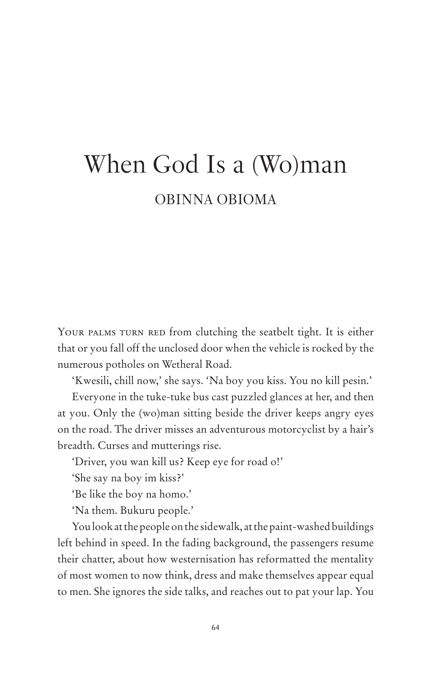## When God Is a (Wo)man OBINNA OBIOMA

YOUR PALMS TURN RED from clutching the seatbelt tight. It is either that or you fall off the unclosed door when the vehicle is rocked by the numerous potholes on Wetheral Road.

'Kwesili, chill now,' she says. 'Na boy you kiss. You no kill pesin.'

Everyone in the tuke-tuke bus cast puzzled glances at her, and then at you. Only the (wo)man sitting beside the driver keeps angry eyes on the road. The driver misses an adventurous motorcyclist by a hair's breadth. Curses and mutterings rise.

'Driver, you wan kill us? Keep eye for road o!'

'She say na boy im kiss?'

'Be like the boy na homo.'

'Na them. Bukuru people.'

You look at the people on the sidewalk, at the paint-washed buildings left behind in speed. In the fading background, the passengers resume their chatter, about how westernisation has reformatted the mentality of most women to now think, dress and make themselves appear equal to men. She ignores the side talks, and reaches out to pat your lap. You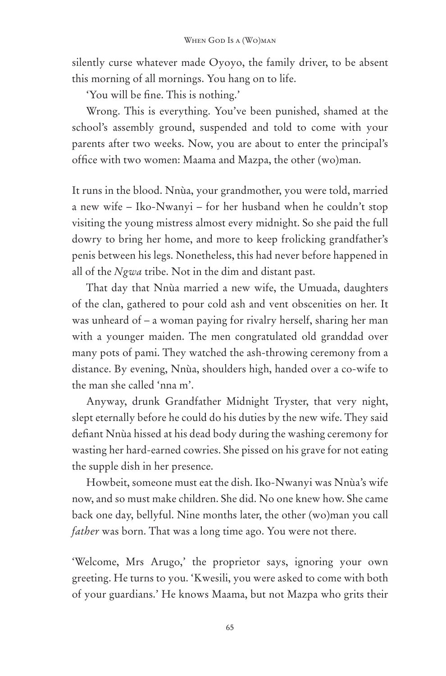silently curse whatever made Oyoyo, the family driver, to be absent this morning of all mornings. You hang on to life.

'You will be fine. This is nothing.'

Wrong. This is everything. You've been punished, shamed at the school's assembly ground, suspended and told to come with your parents after two weeks. Now, you are about to enter the principal's office with two women: Maama and Mazpa, the other (wo)man.

It runs in the blood. Nnùa, your grandmother, you were told, married a new wife – Iko-Nwanyi – for her husband when he couldn't stop visiting the young mistress almost every midnight. So she paid the full dowry to bring her home, and more to keep frolicking grandfather's penis between his legs. Nonetheless, this had never before happened in all of the *Ngwa* tribe. Not in the dim and distant past.

That day that Nnùa married a new wife, the Umuada, daughters of the clan, gathered to pour cold ash and vent obscenities on her. It was unheard of – a woman paying for rivalry herself, sharing her man with a younger maiden. The men congratulated old granddad over many pots of pami. They watched the ash-throwing ceremony from a distance. By evening, Nnùa, shoulders high, handed over a co-wife to the man she called 'nna m'.

Anyway, drunk Grandfather Midnight Tryster, that very night, slept eternally before he could do his duties by the new wife. They said defiant Nnùa hissed at his dead body during the washing ceremony for wasting her hard-earned cowries. She pissed on his grave for not eating the supple dish in her presence.

Howbeit, someone must eat the dish. Iko-Nwanyi was Nnùa's wife now, and so must make children. She did. No one knew how. She came back one day, bellyful. Nine months later, the other (wo)man you call *father* was born. That was a long time ago. You were not there.

'Welcome, Mrs Arugo,' the proprietor says, ignoring your own greeting. He turns to you. 'Kwesili, you were asked to come with both of your guardians.' He knows Maama, but not Mazpa who grits their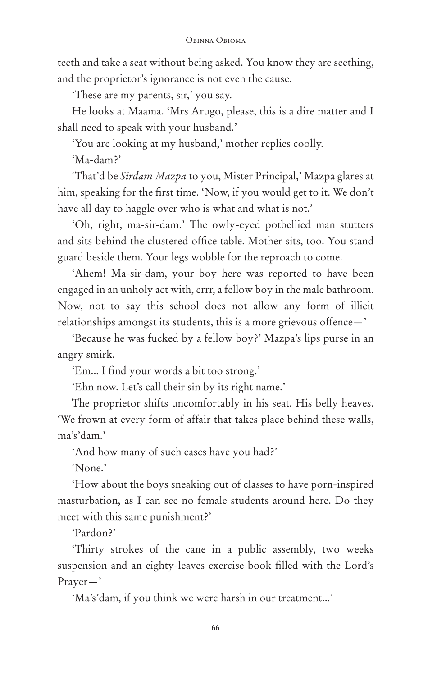teeth and take a seat without being asked. You know they are seething, and the proprietor's ignorance is not even the cause.

'These are my parents, sir,' you say.

He looks at Maama. 'Mrs Arugo, please, this is a dire matter and I shall need to speak with your husband.'

'You are looking at my husband,' mother replies coolly.

'Ma-dam?'

'That'd be *Sirdam Mazpa* to you, Mister Principal,' Mazpa glares at him, speaking for the first time. 'Now, if you would get to it. We don't have all day to haggle over who is what and what is not.'

'Oh, right, ma-sir-dam.' The owly-eyed potbellied man stutters and sits behind the clustered office table. Mother sits, too. You stand guard beside them. Your legs wobble for the reproach to come.

'Ahem! Ma-sir-dam, your boy here was reported to have been engaged in an unholy act with, errr, a fellow boy in the male bathroom. Now, not to say this school does not allow any form of illicit relationships amongst its students, this is a more grievous offence—'

'Because he was fucked by a fellow boy?' Mazpa's lips purse in an angry smirk.

'Em... I find your words a bit too strong.'

'Ehn now. Let's call their sin by its right name.'

The proprietor shifts uncomfortably in his seat. His belly heaves. 'We frown at every form of affair that takes place behind these walls, ma's'dam.'

'And how many of such cases have you had?'

'None.'

'How about the boys sneaking out of classes to have porn-inspired masturbation, as I can see no female students around here. Do they meet with this same punishment?'

'Pardon?'

'Thirty strokes of the cane in a public assembly, two weeks suspension and an eighty-leaves exercise book filled with the Lord's Prayer—'

'Ma's'dam, if you think we were harsh in our treatment...'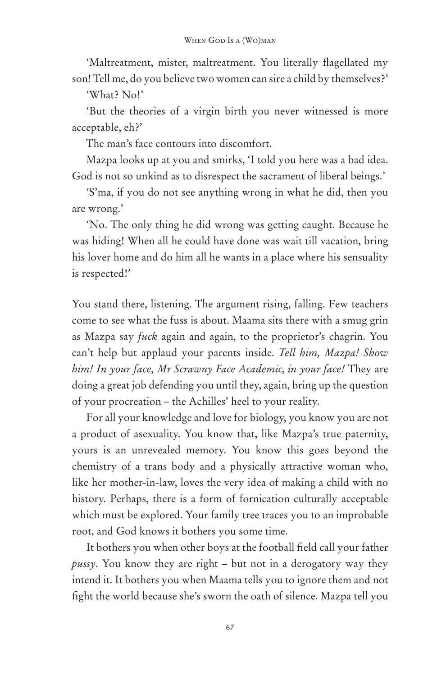'Maltreatment, mister, maltreatment. You literally flagellated my son! Tell me, do you believe two women can sire a child by themselves?'

'What? No!'

'But the theories of a virgin birth you never witnessed is more acceptable, eh?'

The man's face contours into discomfort.

Mazpa looks up at you and smirks, 'I told you here was a bad idea. God is not so unkind as to disrespect the sacrament of liberal beings.'

'S'ma, if you do not see anything wrong in what he did, then you are wrong.'

'No. The only thing he did wrong was getting caught. Because he was hiding! When all he could have done was wait till vacation, bring his lover home and do him all he wants in a place where his sensuality is respected!'

You stand there, listening. The argument rising, falling. Few teachers come to see what the fuss is about. Maama sits there with a smug grin as Mazpa say *fuck* again and again, to the proprietor's chagrin. You can't help but applaud your parents inside. *Tell him, Mazpa! Show him! In your face, Mr Scrawny Face Academic, in your face!* They are doing a great job defending you until they, again, bring up the question of your procreation – the Achilles' heel to your reality.

For all your knowledge and love for biology, you know you are not a product of asexuality. You know that, like Mazpa's true paternity, yours is an unrevealed memory. You know this goes beyond the chemistry of a trans body and a physically attractive woman who, like her mother-in-law, loves the very idea of making a child with no history. Perhaps, there is a form of fornication culturally acceptable which must be explored. Your family tree traces you to an improbable root, and God knows it bothers you some time.

It bothers you when other boys at the football field call your father *pussy*. You know they are right – but not in a derogatory way they intend it. It bothers you when Maama tells you to ignore them and not fight the world because she's sworn the oath of silence. Mazpa tell you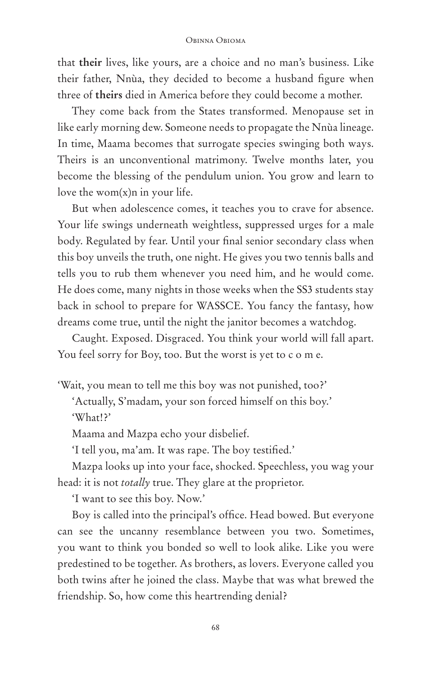## Obinna Obioma

that **their** lives, like yours, are a choice and no man's business. Like their father, Nnùa, they decided to become a husband figure when three of **theirs** died in America before they could become a mother.

They come back from the States transformed. Menopause set in like early morning dew. Someone needs to propagate the Nnùa lineage. In time, Maama becomes that surrogate species swinging both ways. Theirs is an unconventional matrimony. Twelve months later, you become the blessing of the pendulum union. You grow and learn to love the wom $(x)$ n in your life.

But when adolescence comes, it teaches you to crave for absence. Your life swings underneath weightless, suppressed urges for a male body. Regulated by fear. Until your final senior secondary class when this boy unveils the truth, one night. He gives you two tennis balls and tells you to rub them whenever you need him, and he would come. He does come, many nights in those weeks when the SS3 students stay back in school to prepare for WASSCE. You fancy the fantasy, how dreams come true, until the night the janitor becomes a watchdog.

Caught. Exposed. Disgraced. You think your world will fall apart. You feel sorry for Boy, too. But the worst is yet to c o m e.

'Wait, you mean to tell me this boy was not punished, too?'

'Actually, S'madam, your son forced himself on this boy.' 'What!?'

Maama and Mazpa echo your disbelief.

'I tell you, ma'am. It was rape. The boy testified.'

Mazpa looks up into your face, shocked. Speechless, you wag your head: it is not *totally* true. They glare at the proprietor.

'I want to see this boy. Now.'

Boy is called into the principal's office. Head bowed. But everyone can see the uncanny resemblance between you two. Sometimes, you want to think you bonded so well to look alike. Like you were predestined to be together. As brothers, as lovers. Everyone called you both twins after he joined the class. Maybe that was what brewed the friendship. So, how come this heartrending denial?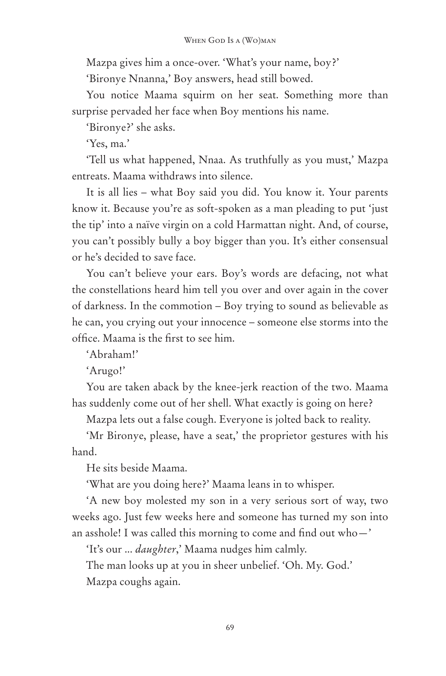Mazpa gives him a once-over. 'What's your name, boy?'

'Bironye Nnanna,' Boy answers, head still bowed.

You notice Maama squirm on her seat. Something more than surprise pervaded her face when Boy mentions his name.

'Bironye?' she asks.

'Yes, ma.'

'Tell us what happened, Nnaa. As truthfully as you must,' Mazpa entreats. Maama withdraws into silence.

It is all lies – what Boy said you did. You know it. Your parents know it. Because you're as soft-spoken as a man pleading to put 'just the tip' into a naïve virgin on a cold Harmattan night. And, of course, you can't possibly bully a boy bigger than you. It's either consensual or he's decided to save face.

You can't believe your ears. Boy's words are defacing, not what the constellations heard him tell you over and over again in the cover of darkness. In the commotion – Boy trying to sound as believable as he can, you crying out your innocence – someone else storms into the office. Maama is the first to see him.

'Abraham!'

'Arugo!'

You are taken aback by the knee-jerk reaction of the two. Maama has suddenly come out of her shell. What exactly is going on here?

Mazpa lets out a false cough. Everyone is jolted back to reality.

'Mr Bironye, please, have a seat,' the proprietor gestures with his hand.

He sits beside Maama.

'What are you doing here?' Maama leans in to whisper.

'A new boy molested my son in a very serious sort of way, two weeks ago. Just few weeks here and someone has turned my son into an asshole! I was called this morning to come and find out who—'

'It's our ... *daughter*,' Maama nudges him calmly.

The man looks up at you in sheer unbelief. 'Oh. My. God.' Mazpa coughs again.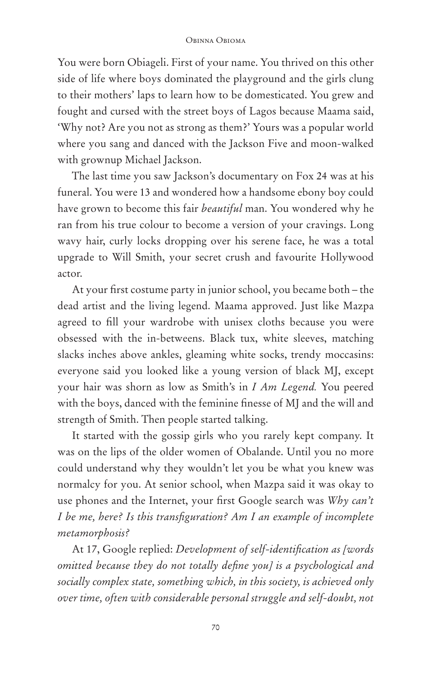## Obinna Obioma

You were born Obiageli. First of your name. You thrived on this other side of life where boys dominated the playground and the girls clung to their mothers' laps to learn how to be domesticated. You grew and fought and cursed with the street boys of Lagos because Maama said, 'Why not? Are you not as strong as them?' Yours was a popular world where you sang and danced with the Jackson Five and moon-walked with grownup Michael Jackson.

The last time you saw Jackson's documentary on Fox 24 was at his funeral. You were 13 and wondered how a handsome ebony boy could have grown to become this fair *beautiful* man. You wondered why he ran from his true colour to become a version of your cravings. Long wavy hair, curly locks dropping over his serene face, he was a total upgrade to Will Smith, your secret crush and favourite Hollywood actor.

At your first costume party in junior school, you became both – the dead artist and the living legend. Maama approved. Just like Mazpa agreed to fill your wardrobe with unisex cloths because you were obsessed with the in-betweens. Black tux, white sleeves, matching slacks inches above ankles, gleaming white socks, trendy moccasins: everyone said you looked like a young version of black MJ, except your hair was shorn as low as Smith's in *I Am Legend.* You peered with the boys, danced with the feminine finesse of MJ and the will and strength of Smith. Then people started talking.

It started with the gossip girls who you rarely kept company. It was on the lips of the older women of Obalande. Until you no more could understand why they wouldn't let you be what you knew was normalcy for you. At senior school, when Mazpa said it was okay to use phones and the Internet, your first Google search was *Why can't I be me, here? Is this transfiguration? Am I an example of incomplete metamorphosis?*

At 17, Google replied: *Development of self-identification as [words omitted because they do not totally define you] is a psychological and socially complex state, something which, in this society, is achieved only over time, often with considerable personal struggle and self-doubt, not*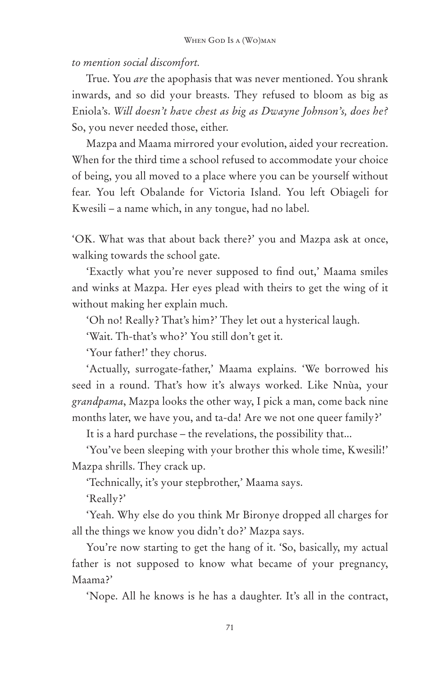*to mention social discomfort.* 

True. You *are* the apophasis that was never mentioned. You shrank inwards, and so did your breasts. They refused to bloom as big as Eniola's. *Will doesn't have chest as big as Dwayne Johnson's, does he?*  So, you never needed those, either.

Mazpa and Maama mirrored your evolution, aided your recreation. When for the third time a school refused to accommodate your choice of being, you all moved to a place where you can be yourself without fear. You left Obalande for Victoria Island. You left Obiageli for Kwesili – a name which, in any tongue, had no label.

'OK. What was that about back there?' you and Mazpa ask at once, walking towards the school gate.

'Exactly what you're never supposed to find out,' Maama smiles and winks at Mazpa. Her eyes plead with theirs to get the wing of it without making her explain much.

'Oh no! Really? That's him?' They let out a hysterical laugh.

'Wait. Th-that's who?' You still don't get it.

'Your father!' they chorus.

'Actually, surrogate-father,' Maama explains. 'We borrowed his seed in a round. That's how it's always worked. Like Nnùa, your *grandpama*, Mazpa looks the other way, I pick a man, come back nine months later, we have you, and ta-da! Are we not one queer family?'

It is a hard purchase – the revelations, the possibility that...

'You've been sleeping with your brother this whole time, Kwesili!' Mazpa shrills. They crack up.

'Technically, it's your stepbrother,' Maama says.

'Really?'

'Yeah. Why else do you think Mr Bironye dropped all charges for all the things we know you didn't do?' Mazpa says.

You're now starting to get the hang of it. 'So, basically, my actual father is not supposed to know what became of your pregnancy, Maama?'

'Nope. All he knows is he has a daughter. It's all in the contract,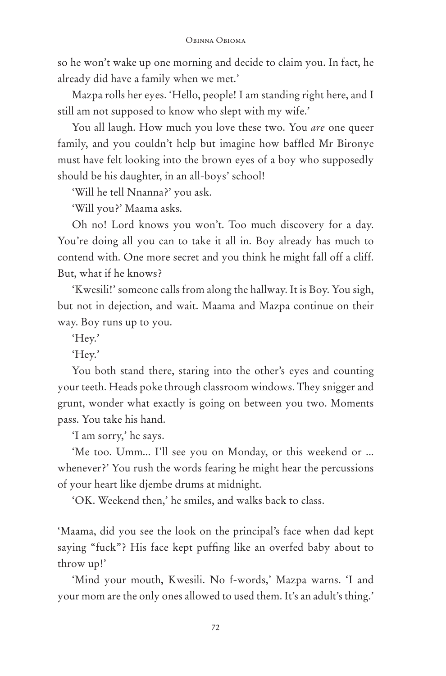so he won't wake up one morning and decide to claim you. In fact, he already did have a family when we met.'

Mazpa rolls her eyes. 'Hello, people! I am standing right here, and I still am not supposed to know who slept with my wife.'

You all laugh. How much you love these two. You *are* one queer family, and you couldn't help but imagine how baffled Mr Bironye must have felt looking into the brown eyes of a boy who supposedly should be his daughter, in an all-boys' school!

'Will he tell Nnanna?' you ask.

'Will you?' Maama asks.

Oh no! Lord knows you won't. Too much discovery for a day. You're doing all you can to take it all in. Boy already has much to contend with. One more secret and you think he might fall off a cliff. But, what if he knows?

'Kwesili!' someone calls from along the hallway. It is Boy. You sigh, but not in dejection, and wait. Maama and Mazpa continue on their way. Boy runs up to you.

'Hey.'

'Hey.'

You both stand there, staring into the other's eyes and counting your teeth. Heads poke through classroom windows. They snigger and grunt, wonder what exactly is going on between you two. Moments pass. You take his hand.

'I am sorry,' he says.

'Me too. Umm... I'll see you on Monday, or this weekend or ... whenever?' You rush the words fearing he might hear the percussions of your heart like djembe drums at midnight.

'OK. Weekend then,' he smiles, and walks back to class.

'Maama, did you see the look on the principal's face when dad kept saying "fuck"? His face kept puffing like an overfed baby about to throw up!'

'Mind your mouth, Kwesili. No f-words,' Mazpa warns. 'I and your mom are the only ones allowed to used them. It's an adult's thing.'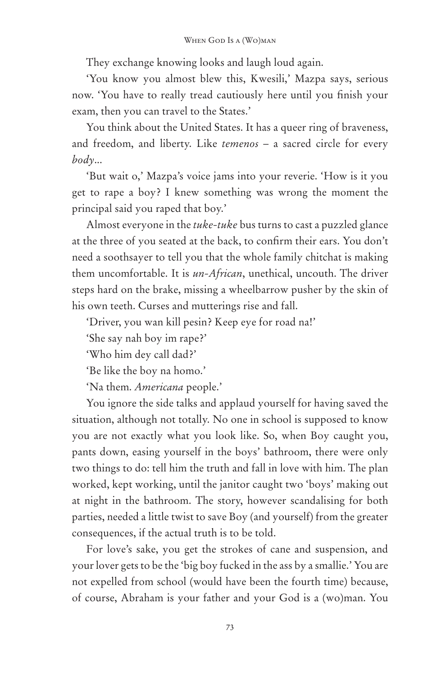They exchange knowing looks and laugh loud again.

'You know you almost blew this, Kwesili,' Mazpa says, serious now. 'You have to really tread cautiously here until you finish your exam, then you can travel to the States.'

You think about the United States. It has a queer ring of braveness, and freedom, and liberty. Like *temenos* – a sacred circle for every *body*...

'But wait o,' Mazpa's voice jams into your reverie. 'How is it you get to rape a boy? I knew something was wrong the moment the principal said you raped that boy.'

Almost everyone in the *tuke-tuke* bus turns to cast a puzzled glance at the three of you seated at the back, to confirm their ears. You don't need a soothsayer to tell you that the whole family chitchat is making them uncomfortable. It is *un-African*, unethical, uncouth. The driver steps hard on the brake, missing a wheelbarrow pusher by the skin of his own teeth. Curses and mutterings rise and fall.

'Driver, you wan kill pesin? Keep eye for road na!'

'She say nah boy im rape?'

'Who him dey call dad?'

'Be like the boy na homo.'

'Na them. *Americana* people.'

You ignore the side talks and applaud yourself for having saved the situation, although not totally. No one in school is supposed to know you are not exactly what you look like. So, when Boy caught you, pants down, easing yourself in the boys' bathroom, there were only two things to do: tell him the truth and fall in love with him. The plan worked, kept working, until the janitor caught two 'boys' making out at night in the bathroom. The story, however scandalising for both parties, needed a little twist to save Boy (and yourself) from the greater consequences, if the actual truth is to be told.

For love's sake, you get the strokes of cane and suspension, and your lover gets to be the 'big boy fucked in the ass by a smallie.' You are not expelled from school (would have been the fourth time) because, of course, Abraham is your father and your God is a (wo)man. You